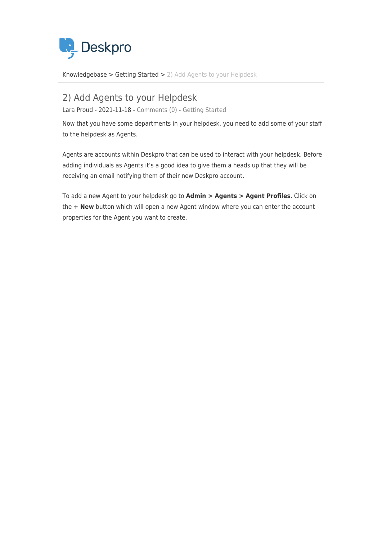

[Knowledgebase](https://support.deskpro.com/en/kb) > [Getting Started](https://support.deskpro.com/en/kb/getting-started) > [2\) Add Agents to your Helpdesk](https://support.deskpro.com/en/kb/articles/2-add-agents-to-your-helpdesk)

## 2) Add Agents to your Helpdesk Lara Proud - 2021-11-18 - [Comments \(0\)](#page--1-0) - [Getting Started](https://support.deskpro.com/en/kb/getting-started)

Now that you have some departments in your helpdesk, you need to add some of your staff

to the helpdesk as Agents.

Agents are accounts within Deskpro that can be used to interact with your helpdesk. Before adding individuals as Agents it's a good idea to give them a heads up that they will be receiving an email notifying them of their new Deskpro account.

To add a new Agent to your helpdesk go to **Admin > Agents > Agent Profiles**. Click on the **+ New** button which will open a new Agent window where you can enter the account properties for the Agent you want to create.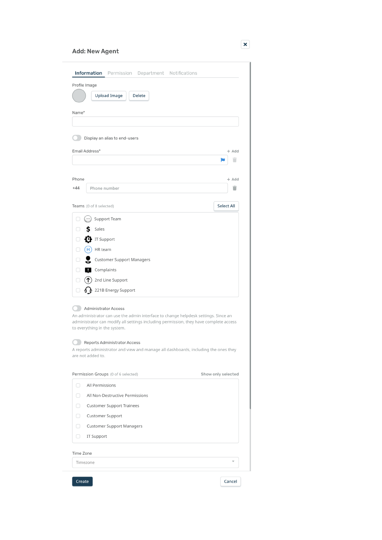## Add: New Agent

| Profile Image                                                                                                                                                                                                                                                                                                                                                                          |                    |
|----------------------------------------------------------------------------------------------------------------------------------------------------------------------------------------------------------------------------------------------------------------------------------------------------------------------------------------------------------------------------------------|--------------------|
| <b>Upload Image</b><br><b>Delete</b>                                                                                                                                                                                                                                                                                                                                                   |                    |
| Name*                                                                                                                                                                                                                                                                                                                                                                                  |                    |
|                                                                                                                                                                                                                                                                                                                                                                                        |                    |
| Display an alias to end-users                                                                                                                                                                                                                                                                                                                                                          |                    |
| Email Address*                                                                                                                                                                                                                                                                                                                                                                         | $+$ Add            |
|                                                                                                                                                                                                                                                                                                                                                                                        | П                  |
|                                                                                                                                                                                                                                                                                                                                                                                        |                    |
| Phone                                                                                                                                                                                                                                                                                                                                                                                  | + Add              |
| $+44$<br>Phone number                                                                                                                                                                                                                                                                                                                                                                  | п                  |
|                                                                                                                                                                                                                                                                                                                                                                                        |                    |
| Teams (0 of 8 selected)                                                                                                                                                                                                                                                                                                                                                                | <b>Select All</b>  |
| $(\ddot{\phantom{a}})$<br>Support Team                                                                                                                                                                                                                                                                                                                                                 |                    |
| S.<br>Sales                                                                                                                                                                                                                                                                                                                                                                            |                    |
| $\mathbf \Phi$ IT Support<br>$\Box$                                                                                                                                                                                                                                                                                                                                                    |                    |
| $(H)$ HR team<br>∩                                                                                                                                                                                                                                                                                                                                                                     |                    |
| ₹<br><b>Customer Support Managers</b>                                                                                                                                                                                                                                                                                                                                                  |                    |
| <b>4</b> Complaints<br>∩                                                                                                                                                                                                                                                                                                                                                               |                    |
| $\left(\bigwedge\right)$ 2nd Line Support<br>0                                                                                                                                                                                                                                                                                                                                         |                    |
| $\frac{1}{2}$ 221B Energy Support<br>0                                                                                                                                                                                                                                                                                                                                                 |                    |
| <b>Administrator Access</b><br>An administrator can use the admin interface to change helpdesk settings. Since an<br>administrator can modify all settings including permission, they have complete access<br>to everything in the system.<br>Reports Administrator Access<br>A reports administrator and view and manage all dashboards, including the ones they<br>are not added to. |                    |
| Permission Groups (0 of 6 selected)                                                                                                                                                                                                                                                                                                                                                    | Show only selected |
| All Permissions<br>□                                                                                                                                                                                                                                                                                                                                                                   |                    |
| All Non-Destructive Permissions<br>∩                                                                                                                                                                                                                                                                                                                                                   |                    |
| <b>Customer Support Trainees</b>                                                                                                                                                                                                                                                                                                                                                       |                    |
| Customer Support                                                                                                                                                                                                                                                                                                                                                                       |                    |
| <b>Customer Support Managers</b><br>n                                                                                                                                                                                                                                                                                                                                                  |                    |
| 0<br>IT Support                                                                                                                                                                                                                                                                                                                                                                        |                    |
| Time Zone                                                                                                                                                                                                                                                                                                                                                                              |                    |
| Timezone                                                                                                                                                                                                                                                                                                                                                                               |                    |
|                                                                                                                                                                                                                                                                                                                                                                                        |                    |
| Create                                                                                                                                                                                                                                                                                                                                                                                 | Cancel             |

 $\boxed{\textbf{x}}$